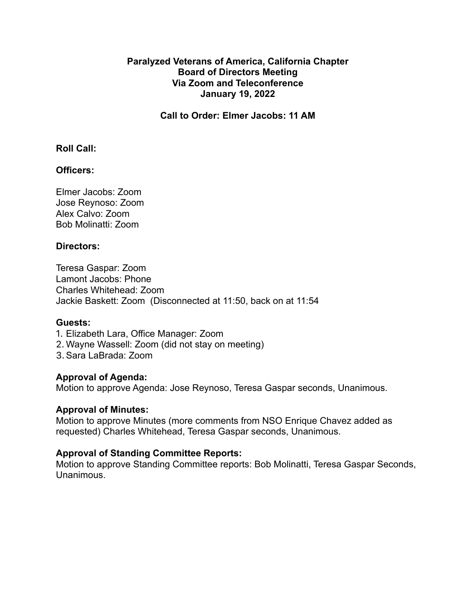# **Paralyzed Veterans of America, California Chapter Board of Directors Meeting Via Zoom and Teleconference January 19, 2022**

**Call to Order: Elmer Jacobs: 11 AM**

## **Roll Call:**

# **Officers:**

Elmer Jacobs: Zoom Jose Reynoso: Zoom Alex Calvo: Zoom Bob Molinatti: Zoom

## **Directors:**

Teresa Gaspar: Zoom Lamont Jacobs: Phone Charles Whitehead: Zoom Jackie Baskett: Zoom (Disconnected at 11:50, back on at 11:54

#### **Guests:**

- 1. Elizabeth Lara, Office Manager: Zoom
- 2. Wayne Wassell: Zoom (did not stay on meeting)
- 3.Sara LaBrada: Zoom

## **Approval of Agenda:**

Motion to approve Agenda: Jose Reynoso, Teresa Gaspar seconds, Unanimous.

#### **Approval of Minutes:**

Motion to approve Minutes (more comments from NSO Enrique Chavez added as requested) Charles Whitehead, Teresa Gaspar seconds, Unanimous.

#### **Approval of Standing Committee Reports:**

Motion to approve Standing Committee reports: Bob Molinatti, Teresa Gaspar Seconds, Unanimous.